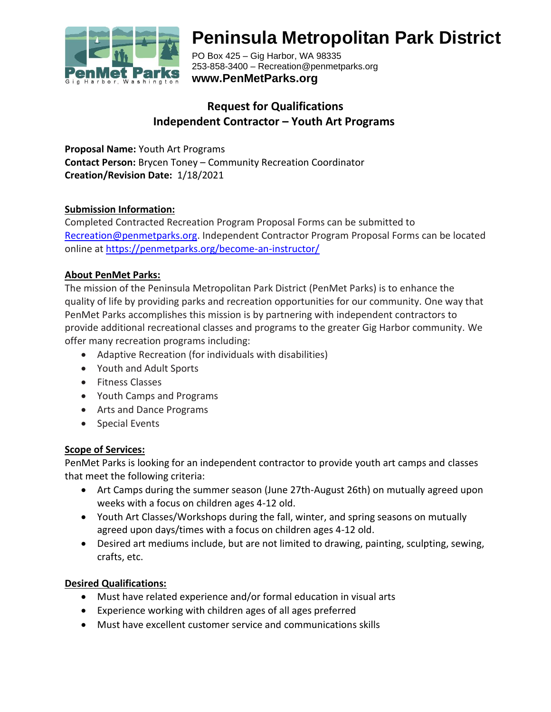

# **Peninsula Metropolitan Park District**

PO Box 425 – Gig Harbor, WA 98335 253-858-3400 – Recreation@penmetparks.org **www.PenMetParks.org**

# **Request for Qualifications Independent Contractor – Youth Art Programs**

**Proposal Name:** Youth Art Programs **Contact Person:** Brycen Toney – Community Recreation Coordinator **Creation/Revision Date:** 1/18/2021

### **Submission Information:**

Completed Contracted Recreation Program Proposal Forms can be submitted to [Recreation@penmetparks.org.](mailto:Recreation@penmetparks.org) Independent Contractor Program Proposal Forms can be located online at<https://penmetparks.org/become-an-instructor/>

### **About PenMet Parks:**

The mission of the Peninsula Metropolitan Park District (PenMet Parks) is to enhance the quality of life by providing parks and recreation opportunities for our community. One way that PenMet Parks accomplishes this mission is by partnering with independent contractors to provide additional recreational classes and programs to the greater Gig Harbor community. We offer many recreation programs including:

- Adaptive Recreation (for individuals with disabilities)
- Youth and Adult Sports
- Fitness Classes
- Youth Camps and Programs
- Arts and Dance Programs
- Special Events

# **Scope of Services:**

PenMet Parks is looking for an independent contractor to provide youth art camps and classes that meet the following criteria:

- Art Camps during the summer season (June 27th-August 26th) on mutually agreed upon weeks with a focus on children ages 4-12 old.
- Youth Art Classes/Workshops during the fall, winter, and spring seasons on mutually agreed upon days/times with a focus on children ages 4-12 old.
- Desired art mediums include, but are not limited to drawing, painting, sculpting, sewing, crafts, etc.

# **Desired Qualifications:**

- Must have related experience and/or formal education in visual arts
- Experience working with children ages of all ages preferred
- Must have excellent customer service and communications skills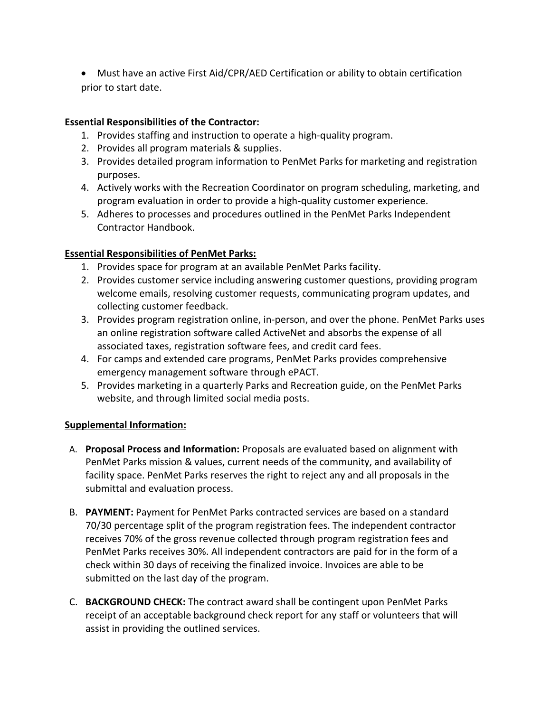• Must have an active First Aid/CPR/AED Certification or ability to obtain certification prior to start date.

# **Essential Responsibilities of the Contractor:**

- 1. Provides staffing and instruction to operate a high-quality program.
- 2. Provides all program materials & supplies.
- 3. Provides detailed program information to PenMet Parks for marketing and registration purposes.
- 4. Actively works with the Recreation Coordinator on program scheduling, marketing, and program evaluation in order to provide a high-quality customer experience.
- 5. Adheres to processes and procedures outlined in the PenMet Parks Independent Contractor Handbook.

### **Essential Responsibilities of PenMet Parks:**

- 1. Provides space for program at an available PenMet Parks facility.
- 2. Provides customer service including answering customer questions, providing program welcome emails, resolving customer requests, communicating program updates, and collecting customer feedback.
- 3. Provides program registration online, in-person, and over the phone. PenMet Parks uses an online registration software called ActiveNet and absorbs the expense of all associated taxes, registration software fees, and credit card fees.
- 4. For camps and extended care programs, PenMet Parks provides comprehensive emergency management software through ePACT.
- 5. Provides marketing in a quarterly Parks and Recreation guide, on the PenMet Parks website, and through limited social media posts.

#### **Supplemental Information:**

- A. **Proposal Process and Information:** Proposals are evaluated based on alignment with PenMet Parks mission & values, current needs of the community, and availability of facility space. PenMet Parks reserves the right to reject any and all proposals in the submittal and evaluation process.
- B. **PAYMENT:** Payment for PenMet Parks contracted services are based on a standard 70/30 percentage split of the program registration fees. The independent contractor receives 70% of the gross revenue collected through program registration fees and PenMet Parks receives 30%. All independent contractors are paid for in the form of a check within 30 days of receiving the finalized invoice. Invoices are able to be submitted on the last day of the program.
- C. **BACKGROUND CHECK:** The contract award shall be contingent upon PenMet Parks receipt of an acceptable background check report for any staff or volunteers that will assist in providing the outlined services.